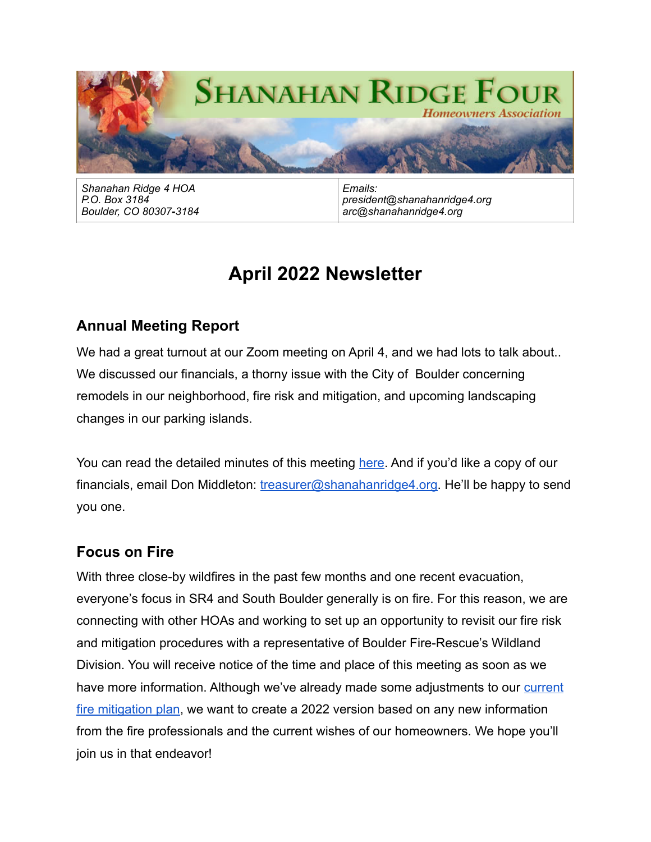

*Shanahan Ridge 4 HOA P.O. Box 3184 Boulder, CO 80307-3184*

*Emails: president@shanahanridge4.org arc@shanahanridge4.org*

# **April 2022 Newsletter**

## **Annual Meeting Report**

We had a great turnout at our Zoom meeting on April 4, and we had lots to talk about... We discussed our financials, a thorny issue with the City of Boulder concerning remodels in our neighborhood, fire risk and mitigation, and upcoming landscaping changes in our parking islands.

You can read the detailed minutes of this meeting [here.](http://www.shanahanridge4.org/wp-content/uploads/2022/04/2022-Annual-Meeting-Minutes.pdf) And if you'd like a copy of our financials, email Don Middleton: [treasurer@shanahanridge4.org.](mailto:treasurer@shanahanridge4.org) He'll be happy to send you one.

## **Focus on Fire**

With three close-by wildfires in the past few months and one recent evacuation, everyone's focus in SR4 and South Boulder generally is on fire. For this reason, we are connecting with other HOAs and working to set up an opportunity to revisit our fire risk and mitigation procedures with a representative of Boulder Fire-Rescue's Wildland Division. You will receive notice of the time and place of this meeting as soon as we have more information. Although we've already made some adjustments to our current [fire mitigation plan](http://www.shanahanridge4.org/wildfire-preparedness/sr4-fire-mitigation-plan-december-2019/), we want to create a 2022 version based on any new information from the fire professionals and the current wishes of our homeowners. We hope you'll join us in that endeavor!